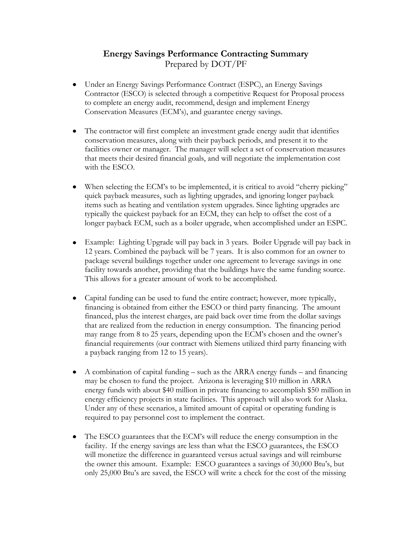## **Energy Savings Performance Contracting Summary** Prepared by DOT/PF

- Under an Energy Savings Performance Contract (ESPC), an Energy Savings Contractor (ESCO) is selected through a competitive Request for Proposal process to complete an energy audit, recommend, design and implement Energy Conservation Measures (ECM's), and guarantee energy savings.
- The contractor will first complete an investment grade energy audit that identifies conservation measures, along with their payback periods, and present it to the facilities owner or manager. The manager will select a set of conservation measures that meets their desired financial goals, and will negotiate the implementation cost with the ESCO.
- $\bullet$ When selecting the ECM's to be implemented, it is critical to avoid "cherry picking" quick payback measures, such as lighting upgrades, and ignoring longer payback items such as heating and ventilation system upgrades. Since lighting upgrades are typically the quickest payback for an ECM, they can help to offset the cost of a longer payback ECM, such as a boiler upgrade, when accomplished under an ESPC.
- Example: Lighting Upgrade will pay back in 3 years. Boiler Upgrade will pay back in  $\bullet$ 12 years. Combined the payback will be 7 years. It is also common for an owner to package several buildings together under one agreement to leverage savings in one facility towards another, providing that the buildings have the same funding source. This allows for a greater amount of work to be accomplished.
- Capital funding can be used to fund the entire contract; however, more typically, financing is obtained from either the ESCO or third party financing. The amount financed, plus the interest charges, are paid back over time from the dollar savings that are realized from the reduction in energy consumption. The financing period may range from 8 to 25 years, depending upon the ECM's chosen and the owner's financial requirements (our contract with Siemens utilized third party financing with a payback ranging from 12 to 15 years).
- A combination of capital funding such as the ARRA energy funds and financing may be chosen to fund the project. Arizona is leveraging \$10 million in ARRA energy funds with about \$40 million in private financing to accomplish \$50 million in energy efficiency projects in state facilities. This approach will also work for Alaska. Under any of these scenarios, a limited amount of capital or operating funding is required to pay personnel cost to implement the contract.
- The ESCO guarantees that the ECM's will reduce the energy consumption in the facility. If the energy savings are less than what the ESCO guarantees, the ESCO will monetize the difference in guaranteed versus actual savings and will reimburse the owner this amount. Example: ESCO guarantees a savings of 30,000 Btu's, but only 25,000 Btu's are saved, the ESCO will write a check for the cost of the missing